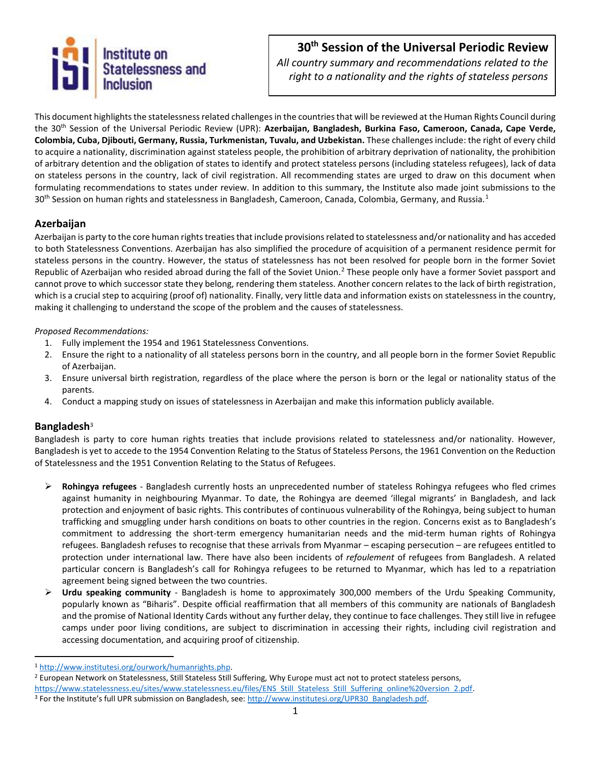

# **30th Session of the Universal Periodic Review**

*All country summary and recommendations related to the right to a nationality and the rights of stateless persons*

This document highlights the statelessness related challenges in the countries that will be reviewed at the Human Rights Council during the 30th Session of the Universal Periodic Review (UPR): **Azerbaijan, Bangladesh, Burkina Faso, Cameroon, Canada, Cape Verde, Colombia, Cuba, Djibouti, Germany, Russia, Turkmenistan, Tuvalu, and Uzbekistan.** These challenges include: the right of every child to acquire a nationality, discrimination against stateless people, the prohibition of arbitrary deprivation of nationality, the prohibition of arbitrary detention and the obligation of states to identify and protect stateless persons (including stateless refugees), lack of data on stateless persons in the country, lack of civil registration. All recommending states are urged to draw on this document when formulating recommendations to states under review. In addition to this summary, the Institute also made joint submissions to the 30<sup>th</sup> Session on human rights and statelessness in Bangladesh, Cameroon, Canada, Colombia, Germany, and Russia.<sup>1</sup>

## **Azerbaijan**

Azerbaijan is party to the core human rights treaties that include provisions related to statelessness and/or nationality and has acceded to both Statelessness Conventions. Azerbaijan has also simplified the procedure of acquisition of a permanent residence permit for stateless persons in the country. However, the status of statelessness has not been resolved for people born in the former Soviet Republic of Azerbaijan who resided abroad during the fall of the Soviet Union.<sup>2</sup> These people only have a former Soviet passport and cannot prove to which successor state they belong, rendering them stateless. Another concern relates to the lack of birth registration, which is a crucial step to acquiring (proof of) nationality. Finally, very little data and information exists on statelessness in the country, making it challenging to understand the scope of the problem and the causes of statelessness.

#### *Proposed Recommendations:*

- 1. Fully implement the 1954 and 1961 Statelessness Conventions.
- 2. Ensure the right to a nationality of all stateless persons born in the country, and all people born in the former Soviet Republic of Azerbaijan.
- 3. Ensure universal birth registration, regardless of the place where the person is born or the legal or nationality status of the parents.
- 4. Conduct a mapping study on issues of statelessness in Azerbaijan and make this information publicly available.

## **Bangladesh**<sup>3</sup>

l

Bangladesh is party to core human rights treaties that include provisions related to statelessness and/or nationality. However, Bangladesh is yet to accede to the 1954 Convention Relating to the Status of Stateless Persons, the 1961 Convention on the Reduction of Statelessness and the 1951 Convention Relating to the Status of Refugees.

- ➢ **Rohingya refugees** Bangladesh currently hosts an unprecedented number of stateless Rohingya refugees who fled crimes against humanity in neighbouring Myanmar. To date, the Rohingya are deemed 'illegal migrants' in Bangladesh, and lack protection and enjoyment of basic rights. This contributes of continuous vulnerability of the Rohingya, being subject to human trafficking and smuggling under harsh conditions on boats to other countries in the region. Concerns exist as to Bangladesh's commitment to addressing the short-term emergency humanitarian needs and the mid-term human rights of Rohingya refugees. Bangladesh refuses to recognise that these arrivals from Myanmar – escaping persecution – are refugees entitled to protection under international law. There have also been incidents of *refoulement* of refugees from Bangladesh. A related particular concern is Bangladesh's call for Rohingya refugees to be returned to Myanmar, which has led to a repatriation agreement being signed between the two countries.
- ➢ **Urdu speaking community**  Bangladesh is home to approximately 300,000 members of the Urdu Speaking Community, popularly known as "Biharis". Despite official reaffirmation that all members of this community are nationals of Bangladesh and the promise of National Identity Cards without any further delay, they continue to face challenges. They still live in refugee camps under poor living conditions, are subject to discrimination in accessing their rights, including civil registration and accessing documentation, and acquiring proof of citizenship.

<sup>1</sup> [http://www.institutesi.org/ourwork/humanrights.php.](http://www.institutesi.org/ourwork/humanrights.php)

<sup>&</sup>lt;sup>2</sup> European Network on Statelessness, Still Stateless Still Suffering, Why Europe must act not to protect stateless persons, [https://www.statelessness.eu/sites/www.statelessness.eu/files/ENS\\_Still\\_Stateless\\_Still\\_Suffering\\_online%20version\\_2.pdf.](https://www.statelessness.eu/sites/www.statelessness.eu/files/ENS_Still_Stateless_Still_Suffering_online%20version_2.pdf) <sup>3</sup> For the Institute's full UPR submission on Bangladesh, see: http://www.institutesi.org/UPR30\_Bangladesh.pdf.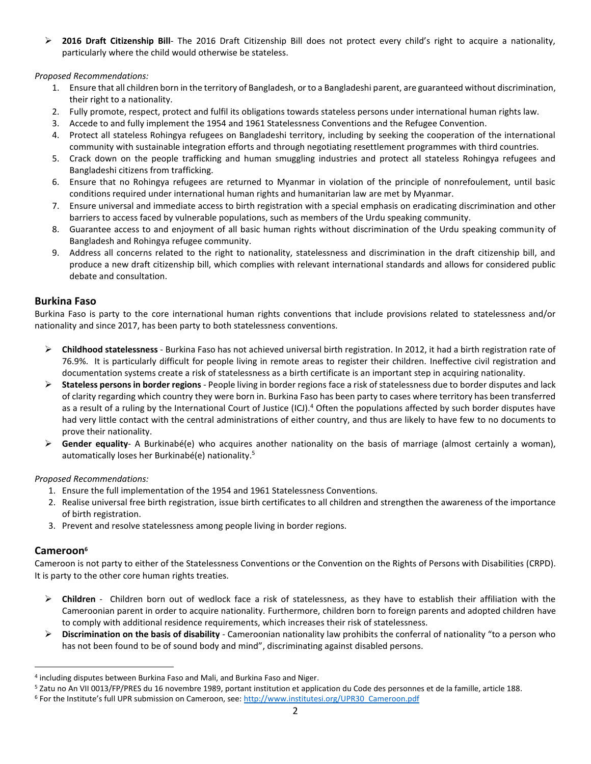➢ **2016 Draft Citizenship Bill**- The 2016 Draft Citizenship Bill does not protect every child's right to acquire a nationality, particularly where the child would otherwise be stateless.

*Proposed Recommendations:*

- 1. Ensure that all children born in the territory of Bangladesh, or to a Bangladeshi parent, are guaranteed without discrimination, their right to a nationality.
- 2. Fully promote, respect, protect and fulfil its obligations towards stateless persons under international human rights law.
- 3. Accede to and fully implement the 1954 and 1961 Statelessness Conventions and the Refugee Convention.
- 4. Protect all stateless Rohingya refugees on Bangladeshi territory, including by seeking the cooperation of the international community with sustainable integration efforts and through negotiating resettlement programmes with third countries.
- 5. Crack down on the people trafficking and human smuggling industries and protect all stateless Rohingya refugees and Bangladeshi citizens from trafficking.
- 6. Ensure that no Rohingya refugees are returned to Myanmar in violation of the principle of nonrefoulement, until basic conditions required under international human rights and humanitarian law are met by Myanmar.
- 7. Ensure universal and immediate access to birth registration with a special emphasis on eradicating discrimination and other barriers to access faced by vulnerable populations, such as members of the Urdu speaking community.
- 8. Guarantee access to and enjoyment of all basic human rights without discrimination of the Urdu speaking community of Bangladesh and Rohingya refugee community.
- 9. Address all concerns related to the right to nationality, statelessness and discrimination in the draft citizenship bill, and produce a new draft citizenship bill, which complies with relevant international standards and allows for considered public debate and consultation.

## **Burkina Faso**

Burkina Faso is party to the core international human rights conventions that include provisions related to statelessness and/or nationality and since 2017, has been party to both statelessness conventions.

- ➢ **Childhood statelessness** Burkina Faso has not achieved universal birth registration. In 2012, it had a birth registration rate of 76.9%. It is particularly difficult for people living in remote areas to register their children. Ineffective civil registration and documentation systems create a risk of statelessness as a birth certificate is an important step in acquiring nationality.
- ➢ **Stateless persons in border regions** People living in border regions face a risk of statelessness due to border disputes and lack of clarity regarding which country they were born in. Burkina Faso has been party to cases where territory has been transferred as a result of a ruling by the International Court of Justice (ICJ).<sup>4</sup> Often the populations affected by such border disputes have had very little contact with the central administrations of either country, and thus are likely to have few to no documents to prove their nationality.
- ➢ **Gender equality** A Burkinabé(e) who acquires another nationality on the basis of marriage (almost certainly a woman), automatically loses her Burkinabé(e) nationality.<sup>5</sup>

*Proposed Recommendations:*

- 1. Ensure the full implementation of the 1954 and 1961 Statelessness Conventions.
- 2. Realise universal free birth registration, issue birth certificates to all children and strengthen the awareness of the importance of birth registration.
- 3. Prevent and resolve statelessness among people living in border regions.

## **Cameroon<sup>6</sup>**

 $\overline{\phantom{a}}$ 

Cameroon is not party to either of the Statelessness Conventions or the Convention on the Rights of Persons with Disabilities (CRPD). It is party to the other core human rights treaties.

- ➢ **Children** Children born out of wedlock face a risk of statelessness, as they have to establish their affiliation with the Cameroonian parent in order to acquire nationality. Furthermore, children born to foreign parents and adopted children have to comply with additional residence requirements, which increases their risk of statelessness.
- ➢ **Discrimination on the basis of disability** Cameroonian nationality law prohibits the conferral of nationality "to a person who has not been found to be of sound body and mind", discriminating against disabled persons.

<sup>4</sup> including disputes between Burkina Faso and Mali, and Burkina Faso and Niger.

<sup>5</sup> Zatu no An VII 0013/FP/PRES du 16 novembre 1989, portant institution et application du Code des personnes et de la famille, article 188.

<sup>&</sup>lt;sup>6</sup> For the Institute's full UPR submission on Cameroon, see[: http://www.institutesi.org/UPR30\\_Cameroon.pdf](http://www.institutesi.org/UPR30_Cameroon.pdf)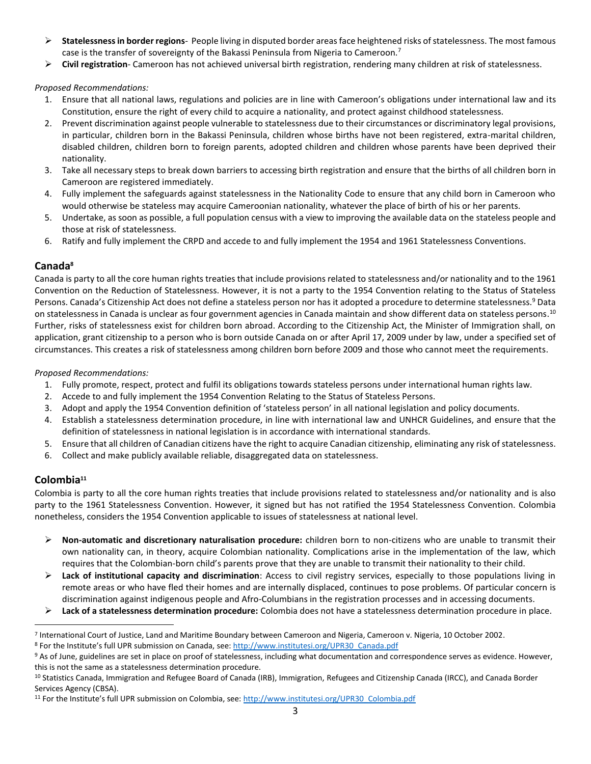- ➢ **Statelessness in border regions** People living in disputed border areas face heightened risks of statelessness. The most famous case is the transfer of sovereignty of the Bakassi Peninsula from Nigeria to Cameroon.<sup>7</sup>
- ➢ **Civil registration** Cameroon has not achieved universal birth registration, rendering many children at risk of statelessness.

*Proposed Recommendations:*

- 1. Ensure that all national laws, regulations and policies are in line with Cameroon's obligations under international law and its Constitution, ensure the right of every child to acquire a nationality, and protect against childhood statelessness.
- 2. Prevent discrimination against people vulnerable to statelessness due to their circumstances or discriminatory legal provisions, in particular, children born in the Bakassi Peninsula, children whose births have not been registered, extra-marital children, disabled children, children born to foreign parents, adopted children and children whose parents have been deprived their nationality.
- 3. Take all necessary steps to break down barriers to accessing birth registration and ensure that the births of all children born in Cameroon are registered immediately.
- 4. Fully implement the safeguards against statelessness in the Nationality Code to ensure that any child born in Cameroon who would otherwise be stateless may acquire Cameroonian nationality, whatever the place of birth of his or her parents.
- 5. Undertake, as soon as possible, a full population census with a view to improving the available data on the stateless people and those at risk of statelessness.
- 6. Ratify and fully implement the CRPD and accede to and fully implement the 1954 and 1961 Statelessness Conventions.

# **Canada<sup>8</sup>**

Canada is party to all the core human rights treaties that include provisions related to statelessness and/or nationality and to the 1961 Convention on the Reduction of Statelessness. However, it is not a party to the 1954 Convention relating to the Status of Stateless Persons. Canada's Citizenship Act does not define a stateless person nor has it adopted a procedure to determine statelessness.<sup>9</sup> Data on statelessness in Canada is unclear as four government agencies in Canada maintain and show different data on stateless persons.  $^{10}$ Further, risks of statelessness exist for children born abroad. According to the Citizenship Act, the Minister of Immigration shall, on application, grant citizenship to a person who is born outside Canada on or after April 17, 2009 under by law, under a specified set of circumstances. This creates a risk of statelessness among children born before 2009 and those who cannot meet the requirements.

## *Proposed Recommendations:*

- 1. Fully promote, respect, protect and fulfil its obligations towards stateless persons under international human rights law.
- 2. Accede to and fully implement the 1954 Convention Relating to the Status of Stateless Persons.
- 3. Adopt and apply the 1954 Convention definition of 'stateless person' in all national legislation and policy documents.
- 4. Establish a statelessness determination procedure, in line with international law and UNHCR Guidelines, and ensure that the definition of statelessness in national legislation is in accordance with international standards.
- 5. Ensure that all children of Canadian citizens have the right to acquire Canadian citizenship, eliminating any risk of statelessness.
- 6. Collect and make publicly available reliable, disaggregated data on statelessness.

# **Colombia<sup>11</sup>**

l

Colombia is party to all the core human rights treaties that include provisions related to statelessness and/or nationality and is also party to the 1961 Statelessness Convention. However, it signed but has not ratified the 1954 Statelessness Convention. Colombia nonetheless, considers the 1954 Convention applicable to issues of statelessness at national level.

- ➢ **Non-automatic and discretionary naturalisation procedure:** children born to non-citizens who are unable to transmit their own nationality can, in theory, acquire Colombian nationality. Complications arise in the implementation of the law, which requires that the Colombian-born child's parents prove that they are unable to transmit their nationality to their child.
- ➢ **Lack of institutional capacity and discrimination**: Access to civil registry services, especially to those populations living in remote areas or who have fled their homes and are internally displaced, continues to pose problems. Of particular concern is discrimination against indigenous people and Afro-Columbians in the registration processes and in accessing documents.
- ➢ **Lack of a statelessness determination procedure:** Colombia does not have a statelessness determination procedure in place.

<sup>&</sup>lt;sup>7</sup> International Court of Justice, Land and Maritime Boundary between Cameroon and Nigeria, Cameroon v. Nigeria, 10 October 2002.

<sup>8</sup> For the Institute's full UPR submission on Canada, see: [http://www.institutesi.org/UPR30\\_Canada.pdf](http://www.institutesi.org/UPR30_Canada.pdf)

<sup>9</sup> As of June, guidelines are set in place on proof of statelessness, including what documentation and correspondence serves as evidence. However, this is not the same as a statelessness determination procedure.

<sup>10</sup> Statistics Canada, Immigration and Refugee Board of Canada (IRB), Immigration, Refugees and Citizenship Canada (IRCC), and Canada Border Services Agency (CBSA).

<sup>&</sup>lt;sup>11</sup> For the Institute's full UPR submission on Colombia, see: [http://www.institutesi.org/UPR30\\_Colombia.pdf](http://www.institutesi.org/UPR30_Colombia.pdf)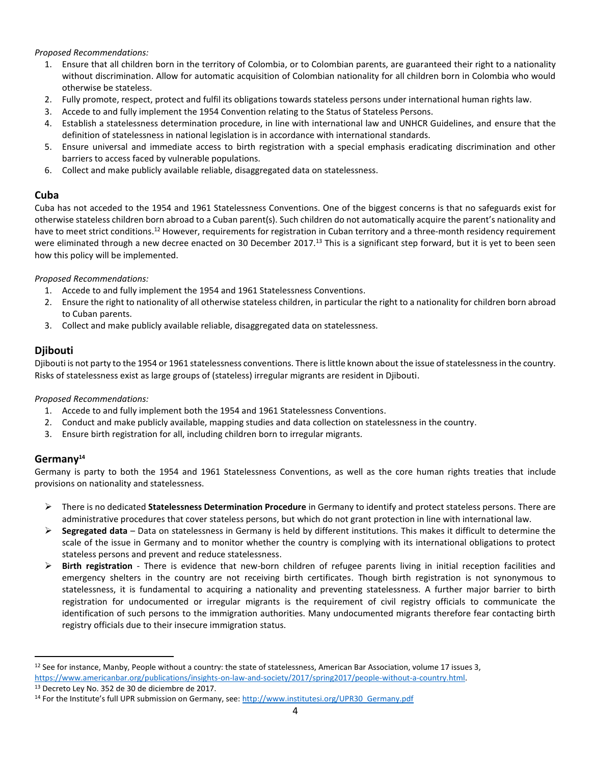## *Proposed Recommendations:*

- 1. Ensure that all children born in the territory of Colombia, or to Colombian parents, are guaranteed their right to a nationality without discrimination. Allow for automatic acquisition of Colombian nationality for all children born in Colombia who would otherwise be stateless.
- 2. Fully promote, respect, protect and fulfil its obligations towards stateless persons under international human rights law.
- 3. Accede to and fully implement the 1954 Convention relating to the Status of Stateless Persons.
- 4. Establish a statelessness determination procedure, in line with international law and UNHCR Guidelines, and ensure that the definition of statelessness in national legislation is in accordance with international standards.
- 5. Ensure universal and immediate access to birth registration with a special emphasis eradicating discrimination and other barriers to access faced by vulnerable populations.
- 6. Collect and make publicly available reliable, disaggregated data on statelessness.

## **Cuba**

Cuba has not acceded to the 1954 and 1961 Statelessness Conventions. One of the biggest concerns is that no safeguards exist for otherwise stateless children born abroad to a Cuban parent(s). Such children do not automatically acquire the parent's nationality and have to meet strict conditions.<sup>12</sup> However, requirements for registration in Cuban territory and a three-month residency requirement were eliminated through a new decree enacted on 30 December 2017.<sup>13</sup> This is a significant step forward, but it is yet to been seen how this policy will be implemented.

#### *Proposed Recommendations:*

- 1. Accede to and fully implement the 1954 and 1961 Statelessness Conventions.
- 2. Ensure the right to nationality of all otherwise stateless children, in particular the right to a nationality for children born abroad to Cuban parents.
- 3. Collect and make publicly available reliable, disaggregated data on statelessness.

# **Djibouti**

Djibouti is not party to the 1954 or 1961 statelessness conventions. There is little known about the issue of statelessness in the country. Risks of statelessness exist as large groups of (stateless) irregular migrants are resident in Djibouti.

#### *Proposed Recommendations:*

- 1. Accede to and fully implement both the 1954 and 1961 Statelessness Conventions.
- 2. Conduct and make publicly available, mapping studies and data collection on statelessness in the country.
- 3. Ensure birth registration for all, including children born to irregular migrants.

## **Germany<sup>14</sup>**

l

Germany is party to both the 1954 and 1961 Statelessness Conventions, as well as the core human rights treaties that include provisions on nationality and statelessness.

- ➢ There is no dedicated **Statelessness Determination Procedure** in Germany to identify and protect stateless persons. There are administrative procedures that cover stateless persons, but which do not grant protection in line with international law.
- ➢ **Segregated data** Data on statelessness in Germany is held by different institutions. This makes it difficult to determine the scale of the issue in Germany and to monitor whether the country is complying with its international obligations to protect stateless persons and prevent and reduce statelessness.
- ➢ **Birth registration** There is evidence that new-born children of refugee parents living in initial reception facilities and emergency shelters in the country are not receiving birth certificates. Though birth registration is not synonymous to statelessness, it is fundamental to acquiring a nationality and preventing statelessness. A further major barrier to birth registration for undocumented or irregular migrants is the requirement of civil registry officials to communicate the identification of such persons to the immigration authorities. Many undocumented migrants therefore fear contacting birth registry officials due to their insecure immigration status.

<sup>&</sup>lt;sup>12</sup> See for instance, Manby, People without a country: the state of statelessness, American Bar Association, volume 17 issues 3, [https://www.americanbar.org/publications/insights-on-law-and-society/2017/spring2017/people-without-a-country.html.](https://www.americanbar.org/publications/insights-on-law-and-society/2017/spring2017/people-without-a-country.html)

<sup>13</sup> Decreto Ley No. 352 de 30 de diciembre de 2017.

<sup>14</sup> For the Institute's full UPR submission on Germany, see: [http://www.institutesi.org/UPR30\\_Germany.pdf](http://www.institutesi.org/UPR30_Germany.pdf)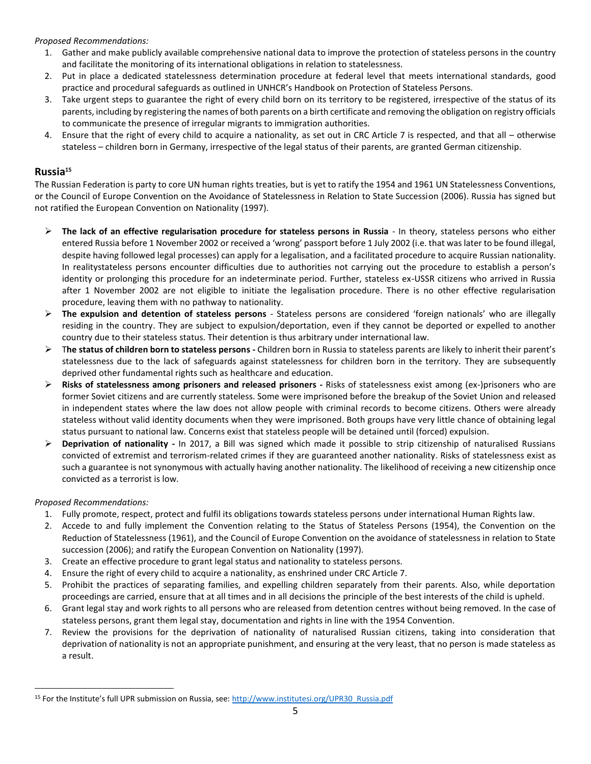#### *Proposed Recommendations:*

- 1. Gather and make publicly available comprehensive national data to improve the protection of stateless persons in the country and facilitate the monitoring of its international obligations in relation to statelessness.
- 2. Put in place a dedicated statelessness determination procedure at federal level that meets international standards, good practice and procedural safeguards as outlined in UNHCR's Handbook on Protection of Stateless Persons.
- 3. Take urgent steps to guarantee the right of every child born on its territory to be registered, irrespective of the status of its parents, including by registering the names of both parents on a birth certificate and removing the obligation on registry officials to communicate the presence of irregular migrants to immigration authorities.
- 4. Ensure that the right of every child to acquire a nationality, as set out in CRC Article 7 is respected, and that all otherwise stateless – children born in Germany, irrespective of the legal status of their parents, are granted German citizenship.

# **Russia<sup>15</sup>**

The Russian Federation is party to core UN human rights treaties, but is yet to ratify the 1954 and 1961 UN Statelessness Conventions, or the Council of Europe Convention on the Avoidance of Statelessness in Relation to State Succession (2006). Russia has signed but not ratified the European Convention on Nationality (1997).

- ➢ **The lack of an effective regularisation procedure for stateless persons in Russia** In theory, stateless persons who either entered Russia before 1 November 2002 or received a 'wrong' passport before 1 July 2002 (i.e. that was later to be found illegal, despite having followed legal processes) can apply for a legalisation, and a facilitated procedure to acquire Russian nationality. In realitystateless persons encounter difficulties due to authorities not carrying out the procedure to establish a person's identity or prolonging this procedure for an indeterminate period. Further, stateless ex-USSR citizens who arrived in Russia after 1 November 2002 are not eligible to initiate the legalisation procedure. There is no other effective regularisation procedure, leaving them with no pathway to nationality.
- ➢ **The expulsion and detention of stateless persons** Stateless persons are considered 'foreign nationals' who are illegally residing in the country. They are subject to expulsion/deportation, even if they cannot be deported or expelled to another country due to their stateless status. Their detention is thus arbitrary under international law.
- ➢ T**he status of children born to stateless persons -** Children born in Russia to stateless parents are likely to inherit their parent's statelessness due to the lack of safeguards against statelessness for children born in the territory. They are subsequently deprived other fundamental rights such as healthcare and education.
- ➢ **Risks of statelessness among prisoners and released prisoners -** Risks of statelessness exist among (ex-)prisoners who are former Soviet citizens and are currently stateless. Some were imprisoned before the breakup of the Soviet Union and released in independent states where the law does not allow people with criminal records to become citizens. Others were already stateless without valid identity documents when they were imprisoned. Both groups have very little chance of obtaining legal status pursuant to national law. Concerns exist that stateless people will be detained until (forced) expulsion.
- ➢ **Deprivation of nationality -** In 2017, a Bill was signed which made it possible to strip citizenship of naturalised Russians convicted of extremist and terrorism-related crimes if they are guaranteed another nationality. Risks of statelessness exist as such a guarantee is not synonymous with actually having another nationality. The likelihood of receiving a new citizenship once convicted as a terrorist is low.

## *Proposed Recommendations:*

l

- 1. Fully promote, respect, protect and fulfil its obligations towards stateless persons under international Human Rights law.
- 2. Accede to and fully implement the Convention relating to the Status of Stateless Persons (1954), the Convention on the Reduction of Statelessness (1961), and the Council of Europe Convention on the avoidance of statelessness in relation to State succession (2006); and ratify the European Convention on Nationality (1997).
- 3. Create an effective procedure to grant legal status and nationality to stateless persons.
- 4. Ensure the right of every child to acquire a nationality, as enshrined under CRC Article 7.
- 5. Prohibit the practices of separating families, and expelling children separately from their parents. Also, while deportation proceedings are carried, ensure that at all times and in all decisions the principle of the best interests of the child is upheld.
- 6. Grant legal stay and work rights to all persons who are released from detention centres without being removed. In the case of stateless persons, grant them legal stay, documentation and rights in line with the 1954 Convention.
- 7. Review the provisions for the deprivation of nationality of naturalised Russian citizens, taking into consideration that deprivation of nationality is not an appropriate punishment, and ensuring at the very least, that no person is made stateless as a result.

<sup>&</sup>lt;sup>15</sup> For the Institute's full UPR submission on Russia, see[: http://www.institutesi.org/UPR30\\_Russia.pdf](http://www.institutesi.org/UPR30_Russia.pdf)